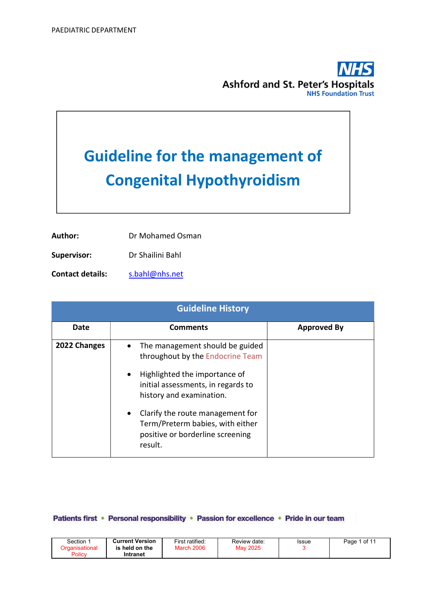

# Guideline for the management of Congenital Hypothyroidism

| Author: | Dr Mohamed Osman |
|---------|------------------|
|         |                  |

Supervisor: Dr Shailini Bahl

Contact details: s.bahl@nhs.net

|              | <b>Guideline History</b>                                                                                                                                                                         |                    |  |  |  |  |
|--------------|--------------------------------------------------------------------------------------------------------------------------------------------------------------------------------------------------|--------------------|--|--|--|--|
| Date         | <b>Comments</b>                                                                                                                                                                                  | <b>Approved By</b> |  |  |  |  |
| 2022 Changes | The management should be guided<br>$\bullet$<br>throughout by the Endocrine Team<br>Highlighted the importance of<br>$\bullet$<br>initial assessments, in regards to<br>history and examination. |                    |  |  |  |  |
|              | Clarify the route management for<br>Term/Preterm babies, with either<br>positive or borderline screening<br>result.                                                                              |                    |  |  |  |  |

#### Patients first • Personal responsibility • Passion for excellence • Pride in our team

| Section<br>Organisational<br>Policy | <b>Current Version</b><br>is held on the<br>Intranet | First ratified:<br><b>March 2006</b> | Review date:<br>May 2025 | Issue | i of 11<br>Page |
|-------------------------------------|------------------------------------------------------|--------------------------------------|--------------------------|-------|-----------------|
|-------------------------------------|------------------------------------------------------|--------------------------------------|--------------------------|-------|-----------------|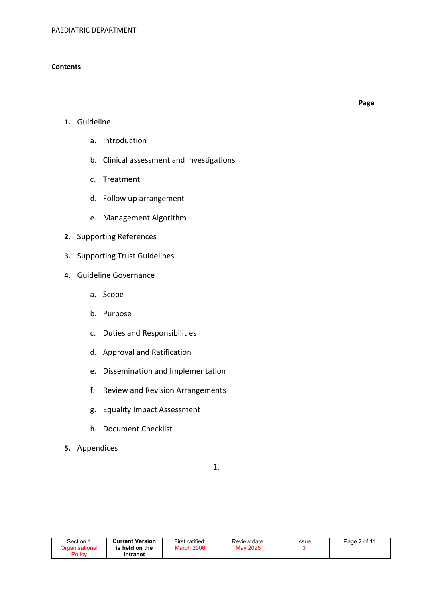#### **Contents**

Page

- 1. Guideline
	- a. Introduction
	- b. Clinical assessment and investigations
	- c. Treatment
	- d. Follow up arrangement
	- e. Management Algorithm
- 2. Supporting References
- 3. Supporting Trust Guidelines
- 4. Guideline Governance
	- a. Scope
	- b. Purpose
	- c. Duties and Responsibilities
	- d. Approval and Ratification
	- e. Dissemination and Implementation
	- f. Review and Revision Arrangements
	- g. Equality Impact Assessment
	- h. Document Checklist
- 5. Appendices

1.

| Section | <b>Current Version</b> | First ratified:   | Review date: | Issue | Page 2 of 11 |
|---------|------------------------|-------------------|--------------|-------|--------------|
|         | is held on the         | <b>March 2006</b> | May 2025     |       |              |
| Policy  | Intranet               |                   |              |       |              |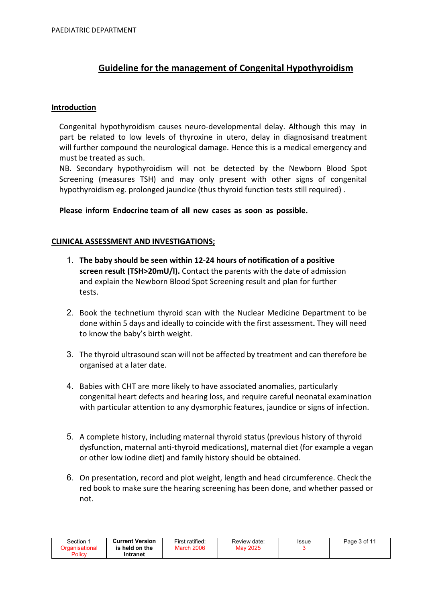# Guideline for the management of Congenital Hypothyroidism

#### Introduction

Congenital hypothyroidism causes neuro-developmental delay. Although this may in part be related to low levels of thyroxine in utero, delay in diagnosisand treatment will further compound the neurological damage. Hence this is a medical emergency and must be treated as such.

NB. Secondary hypothyroidism will not be detected by the Newborn Blood Spot Screening (measures TSH) and may only present with other signs of congenital hypothyroidism eg. prolonged jaundice (thus thyroid function tests still required) .

#### Please inform Endocrine team of all new cases as soon as possible.

## CLINICAL ASSESSMENT AND INVESTIGATIONS;

- 1. The baby should be seen within 12-24 hours of notification of a positive screen result (TSH>20mU/l). Contact the parents with the date of admission and explain the Newborn Blood Spot Screening result and plan for further tests.
- 2. Book the technetium thyroid scan with the Nuclear Medicine Department to be done within 5 days and ideally to coincide with the first assessment. They will need to know the baby's birth weight.
- 3. The thyroid ultrasound scan will not be affected by treatment and can therefore be organised at a later date.
- 4. Babies with CHT are more likely to have associated anomalies, particularly congenital heart defects and hearing loss, and require careful neonatal examination with particular attention to any dysmorphic features, jaundice or signs of infection.
- 5. A complete history, including maternal thyroid status (previous history of thyroid dysfunction, maternal anti-thyroid medications), maternal diet (for example a vegan or other low iodine diet) and family history should be obtained.
- 6. On presentation, record and plot weight, length and head circumference. Check the red book to make sure the hearing screening has been done, and whether passed or not.

| Section | <b>Current Version</b> | First ratified: | Review date: | Issue | Page 3 of 11 |
|---------|------------------------|-----------------|--------------|-------|--------------|
|         | is held on the         | March 2006      | May 2025     |       |              |
| Policy  | Intranet               |                 |              |       |              |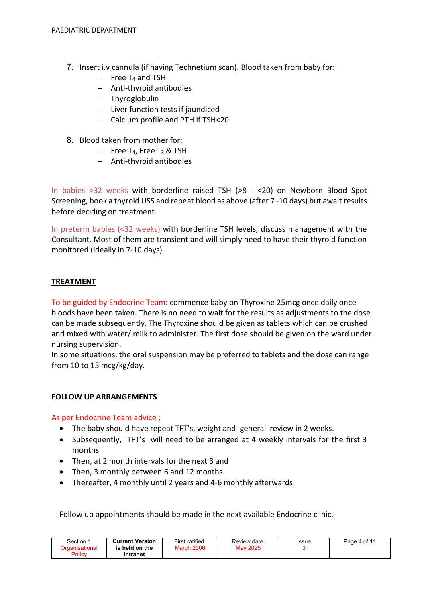- 7. Insert i.v cannula (if having Technetium scan). Blood taken from baby for:
	- $-$  Free T<sub>4</sub> and TSH
	- Anti-thyroid antibodies
	- Thyroglobulin
	- $-$  Liver function tests if jaundiced
	- Calcium profile and PTH if TSH<20
- 8. Blood taken from mother for:
	- $-$  Free T<sub>4</sub>, Free T<sub>3</sub> & TSH
	- Anti-thyroid antibodies

In babies >32 weeks with borderline raised TSH (>8 - <20) on Newborn Blood Spot Screening, book a thyroid USS and repeat blood as above (after 7 -10 days) but await results before deciding on treatment.

In preterm babies (<32 weeks) with borderline TSH levels, discuss management with the Consultant. Most of them are transient and will simply need to have their thyroid function monitored (ideally in 7-10 days).

## TREATMENT

To be guided by Endocrine Team: commence baby on Thyroxine 25mcg once daily once bloods have been taken. There is no need to wait for the results as adjustments to the dose can be made subsequently. The Thyroxine should be given as tablets which can be crushed and mixed with water/ milk to administer. The first dose should be given on the ward under nursing supervision.

In some situations, the oral suspension may be preferred to tablets and the dose can range from 10 to 15 mcg/kg/day.

#### FOLLOW UP ARRANGEMENTS

As per Endocrine Team advice ;

- The baby should have repeat TFT's, weight and general review in 2 weeks.
- Subsequently, TFT's will need to be arranged at 4 weekly intervals for the first 3 months
- Then, at 2 month intervals for the next 3 and
- Then, 3 monthly between 6 and 12 months.
- Thereafter, 4 monthly until 2 years and 4-6 monthly afterwards.

Follow up appointments should be made in the next available Endocrine clinic.

| Section | <b>Current Version</b> | First ratified:   | Review date: | <b>Issue</b> | Page 4 of 11 |
|---------|------------------------|-------------------|--------------|--------------|--------------|
|         | is held on the         | <b>March 2006</b> | Mav 2025     |              |              |
| Policy  | Intranet               |                   |              |              |              |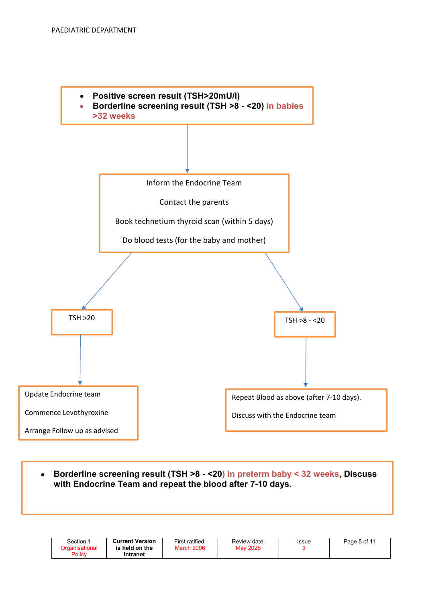

 Borderline screening result (TSH >8 - <20) in preterm baby < 32 weeks, Discuss with Endocrine Team and repeat the blood after 7-10 days.

| Section        | <b>Current Version</b> | First ratified:   | Review date: | Issue | Page 5 of 11 |
|----------------|------------------------|-------------------|--------------|-------|--------------|
| Drɑanisational | is held on the         | <b>March 2006</b> | May 2025     |       |              |
| Policy         | Intranet               |                   |              |       |              |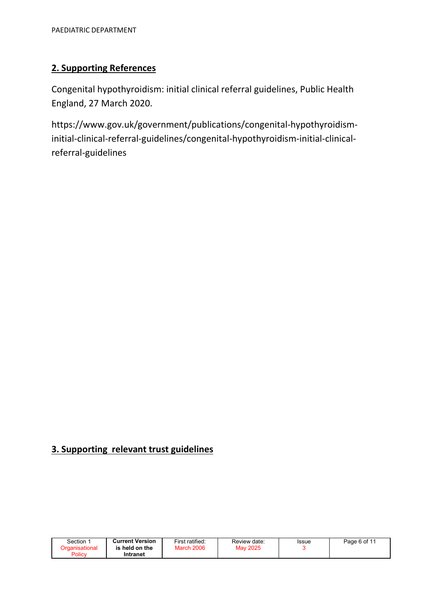# 2. Supporting References

Congenital hypothyroidism: initial clinical referral guidelines, Public Health England, 27 March 2020.

https://www.gov.uk/government/publications/congenital-hypothyroidisminitial-clinical-referral-guidelines/congenital-hypothyroidism-initial-clinicalreferral-guidelines

# 3. Supporting relevant trust guidelines

| Section | <b>Current Version</b> | First ratified:   | Review date: | Issue | Page 6 of 11 |
|---------|------------------------|-------------------|--------------|-------|--------------|
|         | is held on the         | <b>March 2006</b> | May 2025     |       |              |
| Policy  | Intranet               |                   |              |       |              |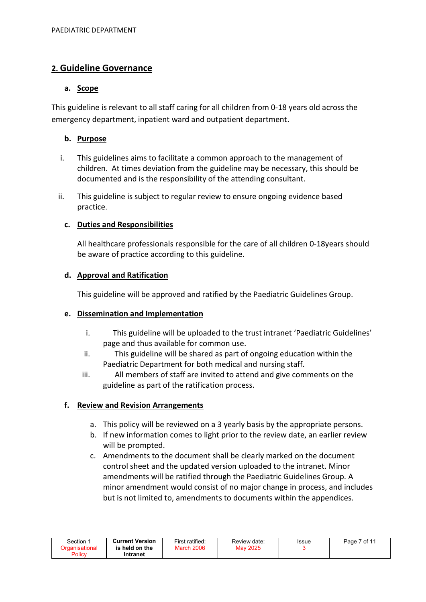# 2. Guideline Governance

## a. Scope

This guideline is relevant to all staff caring for all children from 0-18 years old across the emergency department, inpatient ward and outpatient department.

# b. Purpose

- i. This guidelines aims to facilitate a common approach to the management of children. At times deviation from the guideline may be necessary, this should be documented and is the responsibility of the attending consultant.
- ii. This guideline is subject to regular review to ensure ongoing evidence based practice.

# c. Duties and Responsibilities

All healthcare professionals responsible for the care of all children 0-18years should be aware of practice according to this guideline.

## d. Approval and Ratification

This guideline will be approved and ratified by the Paediatric Guidelines Group.

#### e. Dissemination and Implementation

- i. This guideline will be uploaded to the trust intranet 'Paediatric Guidelines' page and thus available for common use.
- ii. This guideline will be shared as part of ongoing education within the Paediatric Department for both medical and nursing staff.
- iii. All members of staff are invited to attend and give comments on the guideline as part of the ratification process.

# f. Review and Revision Arrangements

- a. This policy will be reviewed on a 3 yearly basis by the appropriate persons.
- b. If new information comes to light prior to the review date, an earlier review will be prompted.
- c. Amendments to the document shall be clearly marked on the document control sheet and the updated version uploaded to the intranet. Minor amendments will be ratified through the Paediatric Guidelines Group. A minor amendment would consist of no major change in process, and includes but is not limited to, amendments to documents within the appendices.

| Section        | <b>Current Version</b> | First ratified: | Review date:    | Issue | Page 7 of 11 |
|----------------|------------------------|-----------------|-----------------|-------|--------------|
| Organisational | is held on the         | March 2006      | <b>May 2025</b> |       |              |
| Policy         | Intranet               |                 |                 |       |              |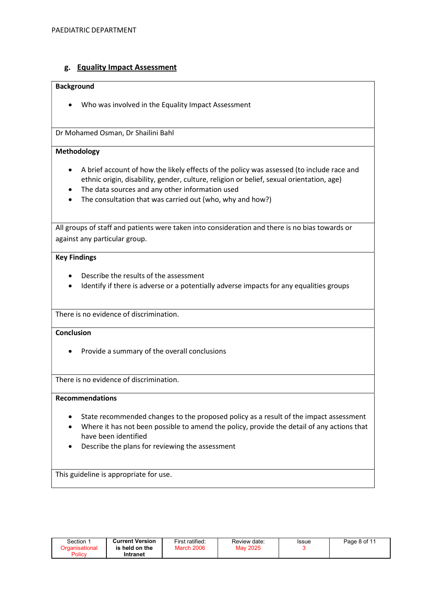# g. Equality Impact Assessment

#### Background

Who was involved in the Equality Impact Assessment

Dr Mohamed Osman, Dr Shailini Bahl

#### Methodology

- A brief account of how the likely effects of the policy was assessed (to include race and ethnic origin, disability, gender, culture, religion or belief, sexual orientation, age)
- The data sources and any other information used
- The consultation that was carried out (who, why and how?)

All groups of staff and patients were taken into consideration and there is no bias towards or against any particular group.

#### Key Findings

- Describe the results of the assessment
- Identify if there is adverse or a potentially adverse impacts for any equalities groups

There is no evidence of discrimination.

#### **Conclusion**

• Provide a summary of the overall conclusions

There is no evidence of discrimination.

#### Recommendations

- State recommended changes to the proposed policy as a result of the impact assessment
- Where it has not been possible to amend the policy, provide the detail of any actions that have been identified
- Describe the plans for reviewing the assessment

This guideline is appropriate for use.

| Section<br>์ )rɑanisational<br>Policy | <b>Current Version</b><br>is held on the<br>Intranet | First ratified:<br><b>March 2006</b> | Review date:<br>May 2025 | Issue | Page 8 of 11 |  |
|---------------------------------------|------------------------------------------------------|--------------------------------------|--------------------------|-------|--------------|--|
|---------------------------------------|------------------------------------------------------|--------------------------------------|--------------------------|-------|--------------|--|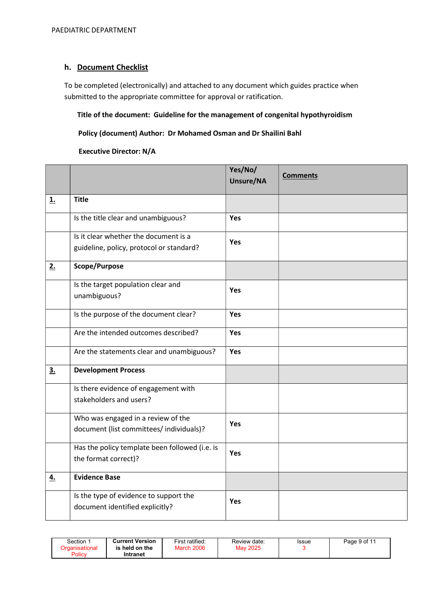## h. Document Checklist

To be completed (electronically) and attached to any document which guides practice when submitted to the appropriate committee for approval or ratification.

#### Title of the document: Guideline for the management of congenital hypothyroidism

#### Policy (document) Author: Dr Mohamed Osman and Dr Shailini Bahl

#### Executive Director: N/A

|           |                                                                                   | Yes/No/<br>Unsure/NA | <b>Comments</b> |
|-----------|-----------------------------------------------------------------------------------|----------------------|-----------------|
| <b>1.</b> | <b>Title</b>                                                                      |                      |                 |
|           | Is the title clear and unambiguous?                                               | Yes                  |                 |
|           | Is it clear whether the document is a<br>guideline, policy, protocol or standard? | <b>Yes</b>           |                 |
| 2.        | Scope/Purpose                                                                     |                      |                 |
|           | Is the target population clear and<br>unambiguous?                                | <b>Yes</b>           |                 |
|           | Is the purpose of the document clear?                                             | Yes                  |                 |
|           | Are the intended outcomes described?                                              | <b>Yes</b>           |                 |
|           | Are the statements clear and unambiguous?                                         | Yes                  |                 |
| 3.        | <b>Development Process</b>                                                        |                      |                 |
|           | Is there evidence of engagement with<br>stakeholders and users?                   |                      |                 |
|           | Who was engaged in a review of the<br>document (list committees/ individuals)?    | <b>Yes</b>           |                 |
|           | Has the policy template been followed (i.e. is<br>the format correct)?            | <b>Yes</b>           |                 |
| <u>4.</u> | <b>Evidence Base</b>                                                              |                      |                 |
|           | Is the type of evidence to support the<br>document identified explicitly?         | Yes                  |                 |

| Section :<br>Organisational<br>Policy | <b>Current Version</b><br>is held on the<br>Intranet | First ratified:<br><b>March 2006</b> | Review date:<br>May 2025 | <b>Issue</b> | Page 9 of 11 |
|---------------------------------------|------------------------------------------------------|--------------------------------------|--------------------------|--------------|--------------|
|---------------------------------------|------------------------------------------------------|--------------------------------------|--------------------------|--------------|--------------|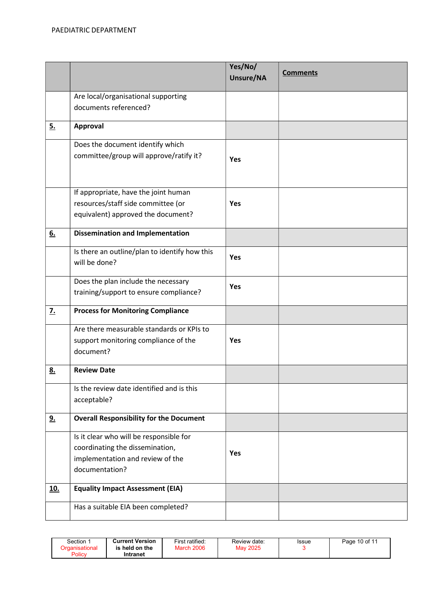|                  |                                                                                                                                  | Yes/No/<br>Unsure/NA | <b>Comments</b> |
|------------------|----------------------------------------------------------------------------------------------------------------------------------|----------------------|-----------------|
|                  | Are local/organisational supporting                                                                                              |                      |                 |
|                  | documents referenced?                                                                                                            |                      |                 |
| 5.               | Approval                                                                                                                         |                      |                 |
|                  | Does the document identify which<br>committee/group will approve/ratify it?                                                      | Yes                  |                 |
|                  | If appropriate, have the joint human<br>resources/staff side committee (or<br>equivalent) approved the document?                 | <b>Yes</b>           |                 |
| 6.               | <b>Dissemination and Implementation</b>                                                                                          |                      |                 |
|                  | Is there an outline/plan to identify how this<br>will be done?                                                                   | <b>Yes</b>           |                 |
|                  | Does the plan include the necessary<br>training/support to ensure compliance?                                                    | <b>Yes</b>           |                 |
| $\overline{z}$ . | <b>Process for Monitoring Compliance</b>                                                                                         |                      |                 |
|                  | Are there measurable standards or KPIs to<br>support monitoring compliance of the<br>document?                                   | <b>Yes</b>           |                 |
| <u>8.</u>        | <b>Review Date</b>                                                                                                               |                      |                 |
|                  | Is the review date identified and is this<br>acceptable?                                                                         |                      |                 |
| <u>9.</u>        | <b>Overall Responsibility for the Document</b>                                                                                   |                      |                 |
|                  | Is it clear who will be responsible for<br>coordinating the dissemination,<br>implementation and review of the<br>documentation? | <b>Yes</b>           |                 |
| <u>10.</u>       | <b>Equality Impact Assessment (EIA)</b>                                                                                          |                      |                 |
|                  | Has a suitable EIA been completed?                                                                                               |                      |                 |

| Section<br>Organisational<br>Policy | <b>Current Version</b><br>held on the نا<br>Intranet | First ratified:<br><b>March 2006</b> | Review date:<br>May 2025 | <b>Issue</b> | Page 10 of 11 |
|-------------------------------------|------------------------------------------------------|--------------------------------------|--------------------------|--------------|---------------|
|-------------------------------------|------------------------------------------------------|--------------------------------------|--------------------------|--------------|---------------|